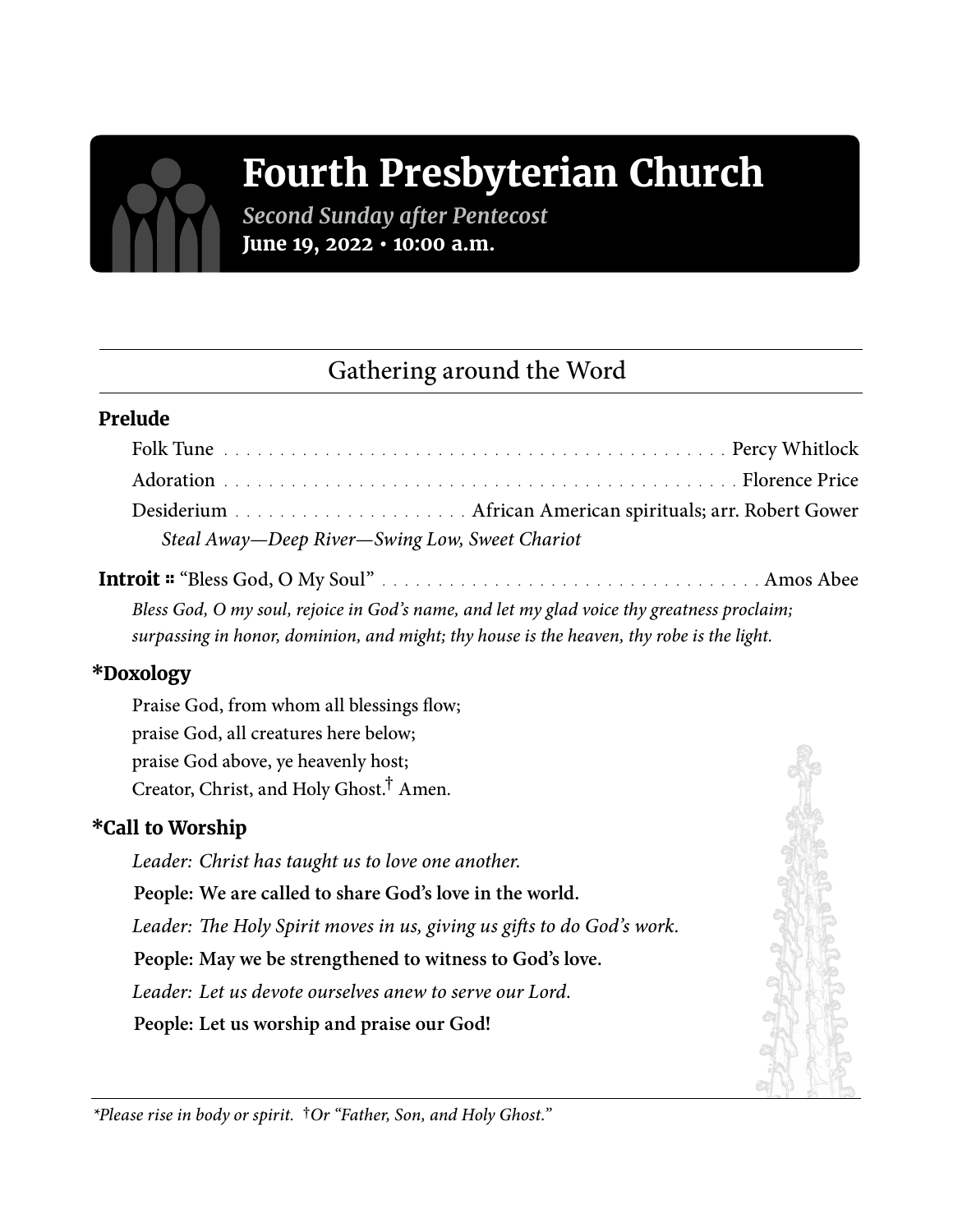# **Fourth Presbyterian Church**

*Second Sunday after Pentecost* **June 19, 2022 • 10:00 a.m.**

## Gathering around the Word

## **Prelude**

| Steal Away-Deep River-Swing Low, Sweet Chariot |  |
|------------------------------------------------|--|

 **Introit** :: "Bless God, O My Soul" . . . . . . . . . . . . . . . . . . . . . . . . . . . . . . . . . .Amos Abee *Bless God, O my soul, rejoice in God's name, and let my glad voice thy greatness proclaim; surpassing in honor, dominion, and might; thy house is the heaven, thy robe is the light.* 

## **\*Doxology**

Praise God, from whom all blessings flow; praise God, all creatures here below; praise God above, ye heavenly host; Creator, Christ, and Holy Ghost. † Amen*.*

## **\*Call to Worship**

*Leader: Christ has taught us to love one another.*  **People: We are called to share God's love in the world.**  *Leader: The Holy Spirit moves in us, giving us gifts to do God's work.*  **People: May we be strengthened to witness to God's love.**  *Leader: Let us devote ourselves anew to serve our Lord.*  **People: Let us worship and praise our God!** 



*\*Please rise in body or spirit.* †*Or "Father, Son, and Holy Ghost."*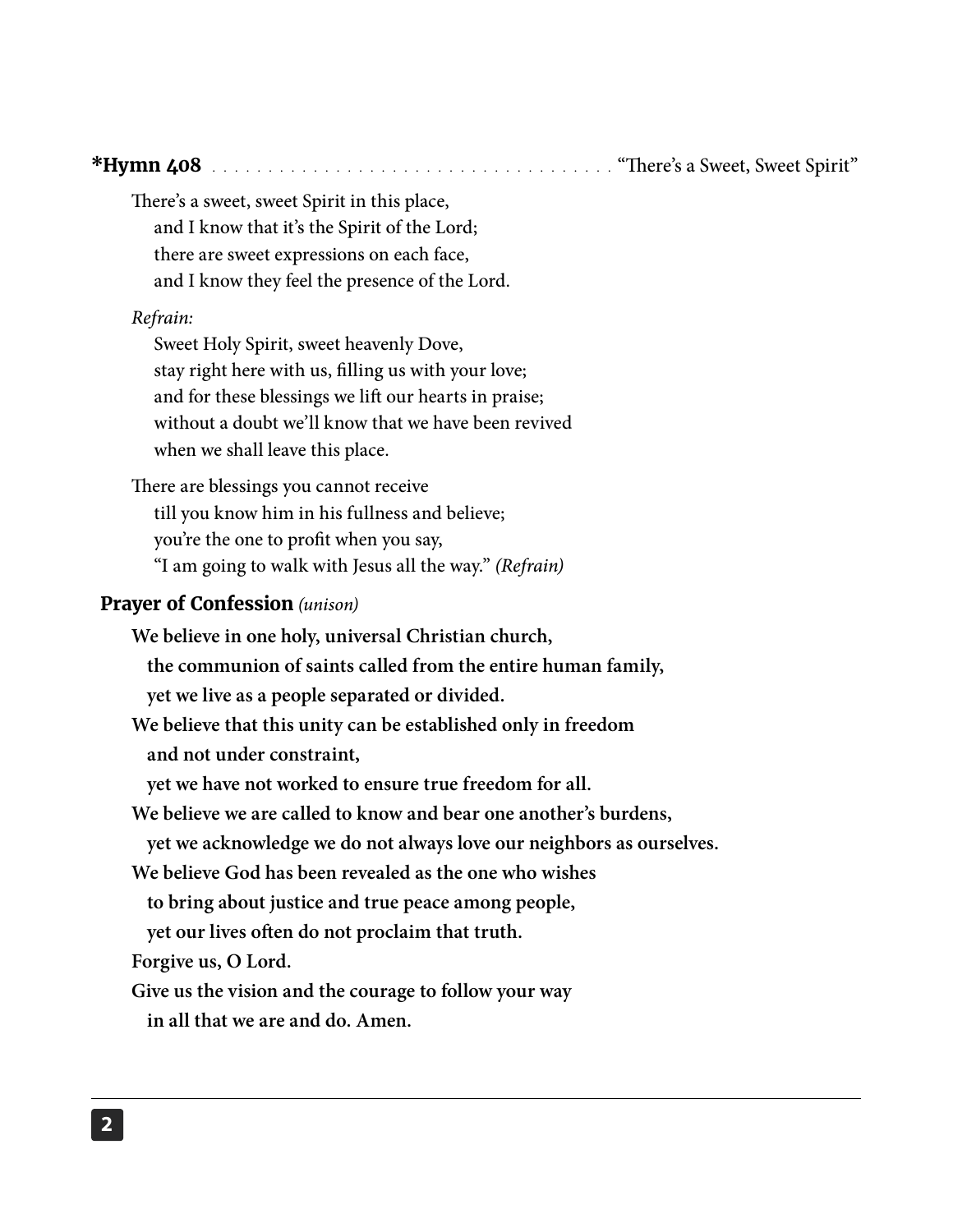|  |  |  |  | "There's a Sweet, Sweet Spirit" |
|--|--|--|--|---------------------------------|
|--|--|--|--|---------------------------------|

There's a sweet, sweet Spirit in this place, and I know that it's the Spirit of the Lord; there are sweet expressions on each face, and I know they feel the presence of the Lord.

#### *Refrain:*

Sweet Holy Spirit, sweet heavenly Dove, stay right here with us, filling us with your love; and for these blessings we lift our hearts in praise; without a doubt we'll know that we have been revived when we shall leave this place.

There are blessings you cannot receive till you know him in his fullness and believe; you're the one to profit when you say, "I am going to walk with Jesus all the way." *(Refrain)*

#### **Prayer of Confession** *(unison)*

**We believe in one holy, universal Christian church, the communion of saints called from the entire human family, yet we live as a people separated or divided. We believe that this unity can be established only in freedom and not under constraint, yet we have not worked to ensure true freedom for all. We believe we are called to know and bear one another's burdens, yet we acknowledge we do not always love our neighbors as ourselves. We believe God has been revealed as the one who wishes to bring about justice and true peace among people, yet our lives often do not proclaim that truth. Forgive us, O Lord. Give us the vision and the courage to follow your way in all that we are and do. Amen.**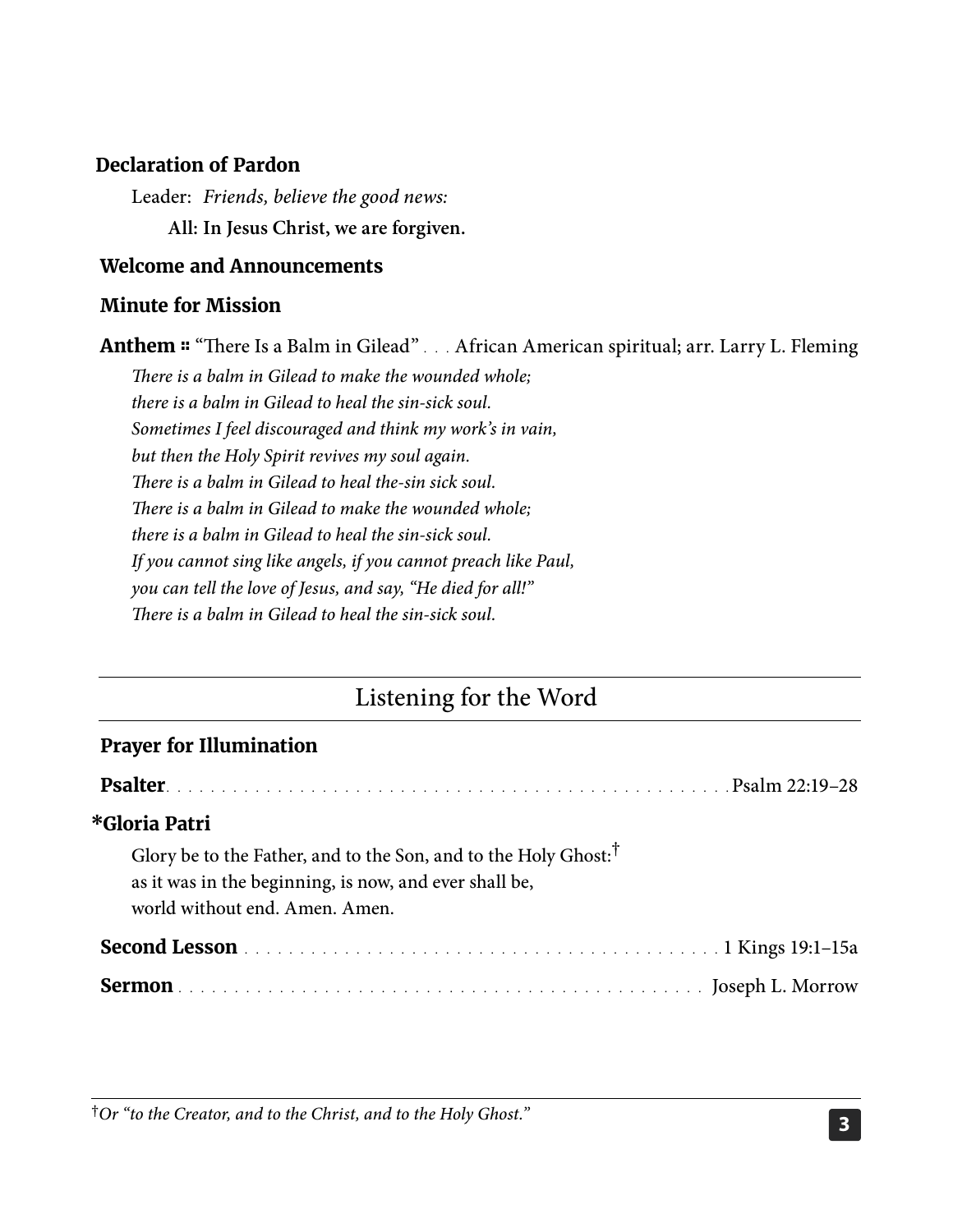## **Declaration of Pardon**

Leader: *Friends, believe the good news:*  **All: In Jesus Christ, we are forgiven.**

## **Welcome and Announcements**

## **Minute for Mission**

**Anthem** :: "There Is a Balm in Gilead" African American spiritual; arr. Larry L. Fleming

*There is a balm in Gilead to make the wounded whole; there is a balm in Gilead to heal the sin-sick soul. Sometimes I feel discouraged and think my work's in vain, but then the Holy Spirit revives my soul again. There is a balm in Gilead to heal the-sin sick soul. There is a balm in Gilead to make the wounded whole; there is a balm in Gilead to heal the sin-sick soul. If you cannot sing like angels, if you cannot preach like Paul, you can tell the love of Jesus, and say, "He died for all!" There is a balm in Gilead to heal the sin-sick soul.* 

## Listening for the Word

### **Prayer for Illumination**

| *Gloria Patri                                                                                                                                                           |
|-------------------------------------------------------------------------------------------------------------------------------------------------------------------------|
| Glory be to the Father, and to the Son, and to the Holy Ghost: <sup>†</sup><br>as it was in the beginning, is now, and ever shall be,<br>world without end. Amen. Amen. |
|                                                                                                                                                                         |
|                                                                                                                                                                         |

**<sup>3</sup>** †*Or "to the Creator, and to the Christ, and to the Holy Ghost."*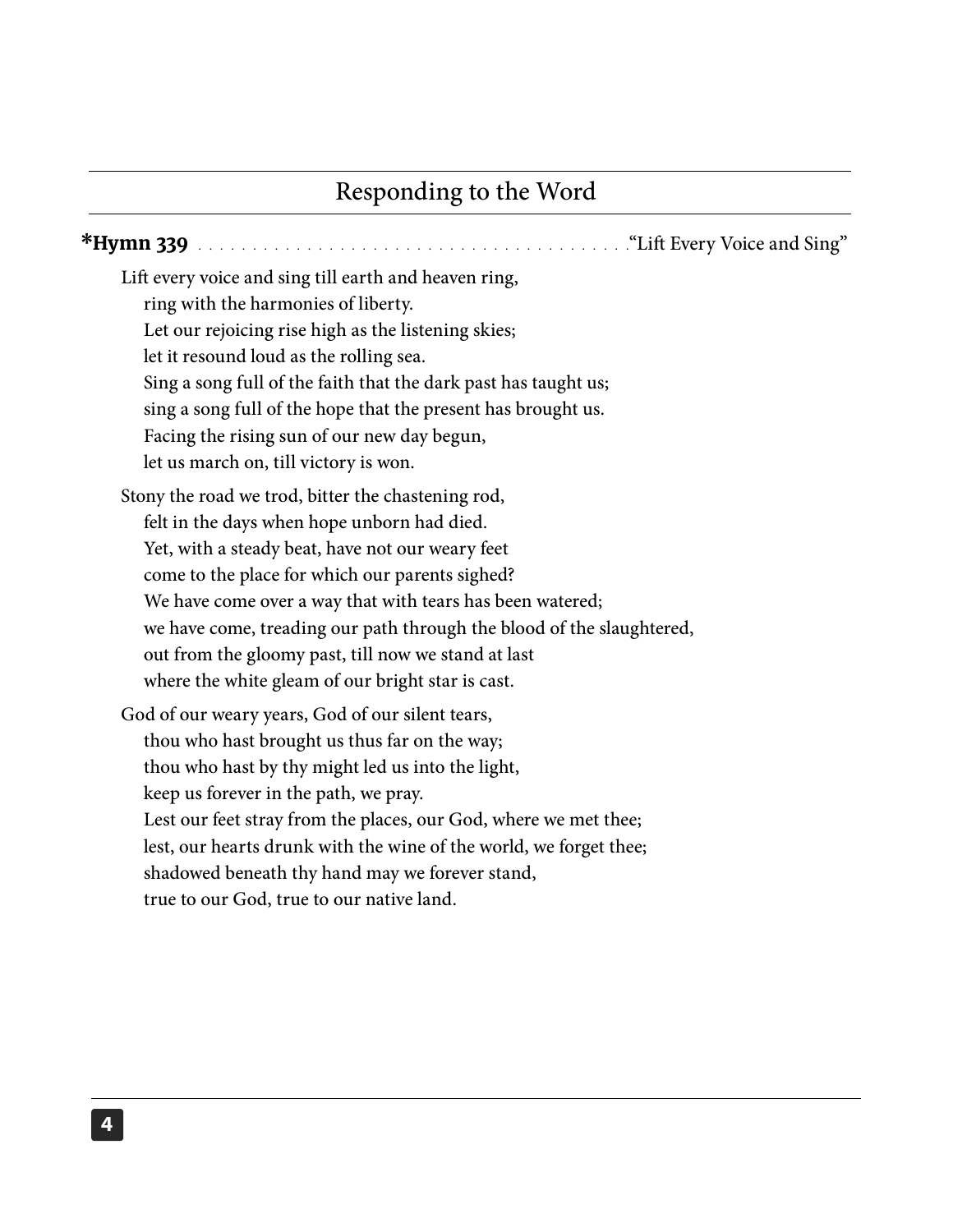## Responding to the Word

| *Hymn 339 December 239 Array Studies Array March 2014 Merry Voice and Sing"                  |
|----------------------------------------------------------------------------------------------|
| Lift every voice and sing till earth and heaven ring,<br>ring with the harmonies of liberty. |
| Let our rejoicing rise high as the listening skies;                                          |
| let it resound loud as the rolling sea.                                                      |
| Sing a song full of the faith that the dark past has taught us;                              |
| sing a song full of the hope that the present has brought us.                                |
| Facing the rising sun of our new day begun,                                                  |
| let us march on, till victory is won.                                                        |
| Stony the road we trod, bitter the chastening rod,                                           |
| felt in the days when hope unborn had died.                                                  |
| Yet, with a steady beat, have not our weary feet                                             |
| come to the place for which our parents sighed?                                              |
| We have come over a way that with tears has been watered;                                    |
| we have come, treading our path through the blood of the slaughtered,                        |
| out from the gloomy past, till now we stand at last                                          |
| where the white gleam of our bright star is cast.                                            |
| God of our weary years, God of our silent tears,                                             |
| thou who hast brought us thus far on the way;                                                |
| thou who hast by thy might led us into the light,                                            |
| keep us forever in the path, we pray.                                                        |
| Lest our feet stray from the places, our God, where we met thee;                             |
| lest, our hearts drunk with the wine of the world, we forget thee;                           |
| shadowed beneath thy hand may we forever stand,                                              |
| true to our God, true to our native land.                                                    |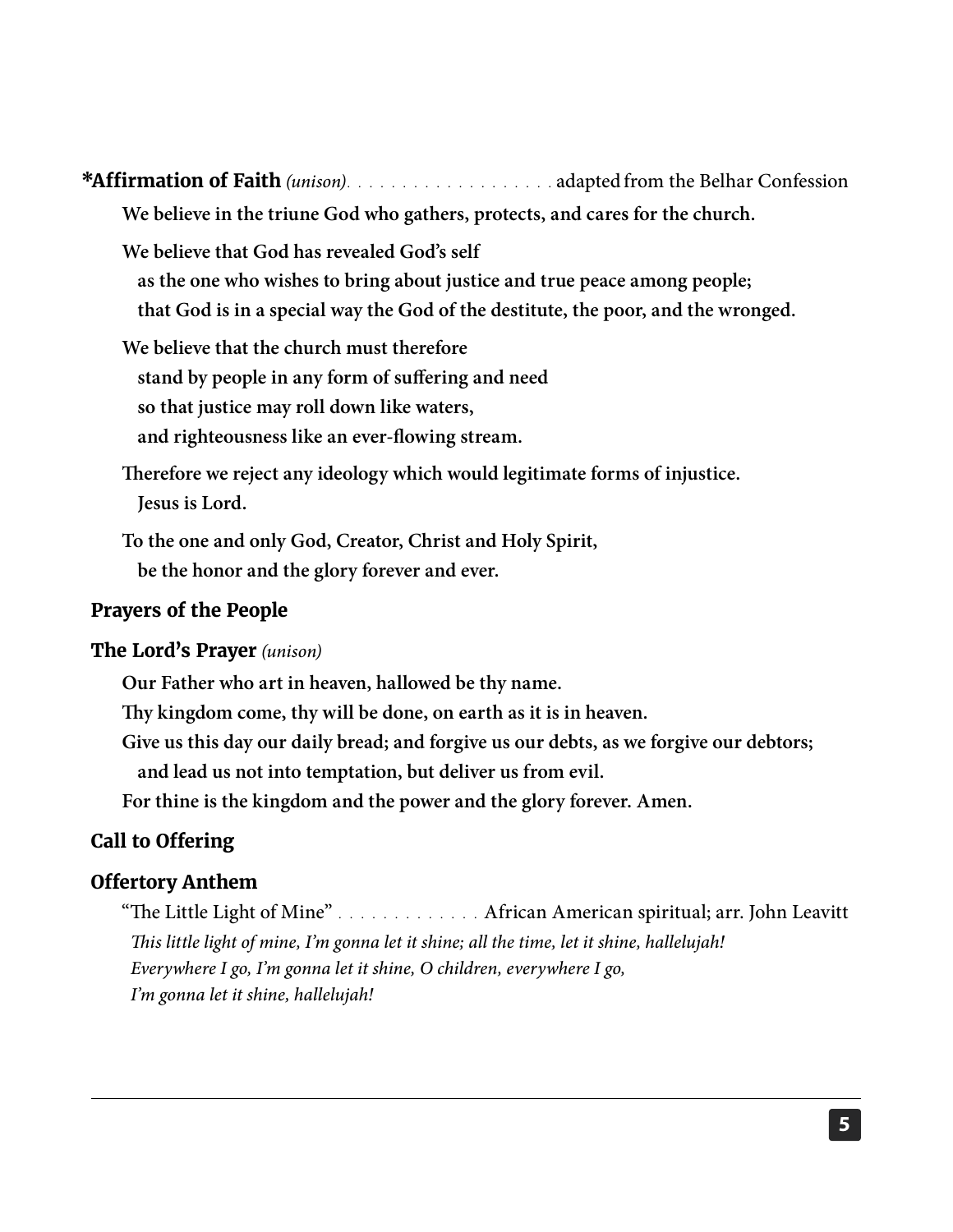| We believe in the triune God who gathers, protects, and cares for the church.     |
|-----------------------------------------------------------------------------------|
| We believe that God has revealed God's self                                       |
| as the one who wishes to bring about justice and true peace among people;         |
| that God is in a special way the God of the destitute, the poor, and the wronged. |
| We believe that the church must therefore                                         |
| stand by people in any form of suffering and need                                 |
| so that justice may roll down like waters,                                        |
| and righteousness like an ever-flowing stream.                                    |
| Therefore we reject any ideology which would legitimate forms of injustice.       |
| Jesus is Lord.                                                                    |
| To the one and only God, Creator, Christ and Holy Spirit,                         |
| be the honor and the glory forever and ever.                                      |
| <b>Prayers of the People</b>                                                      |
| <b>The Lord's Prayer</b> (unison)                                                 |

**Our Father who art in heaven, hallowed be thy name.** 

**Thy kingdom come, thy will be done, on earth as it is in heaven.** 

**Give us this day our daily bread; and forgive us our debts, as we forgive our debtors; and lead us not into temptation, but deliver us from evil.** 

**For thine is the kingdom and the power and the glory forever. Amen.** 

## **Call to Offering**

## **Offertory Anthem**

"The Little Light of Mine" . . . . . . . . . . . . .African American spiritual; arr. John Leavitt *This little light of mine, I'm gonna let it shine; all the time, let it shine, hallelujah! Everywhere I go, I'm gonna let it shine, O children, everywhere I go, I'm gonna let it shine, hallelujah!*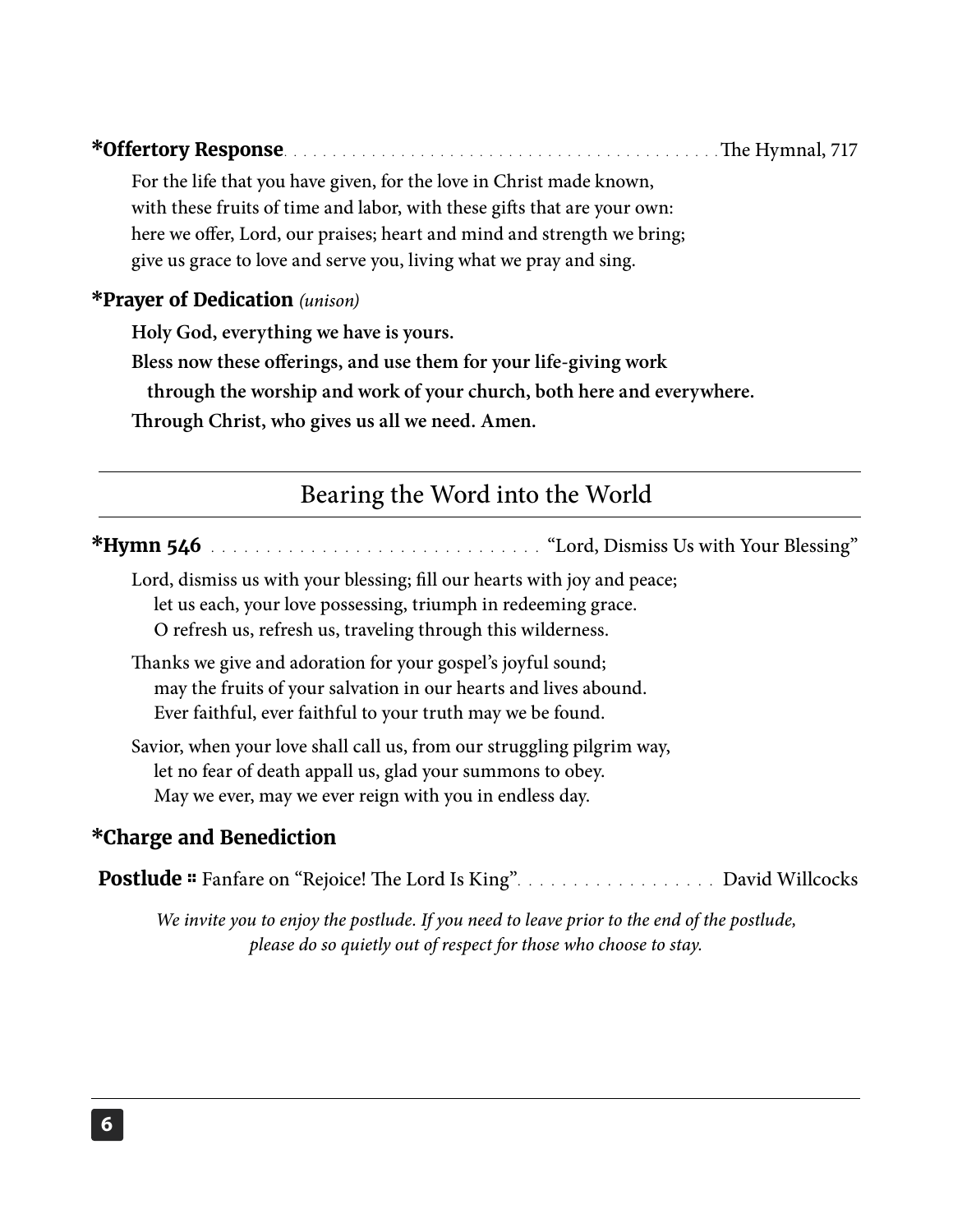|--|--|

For the life that you have given, for the love in Christ made known, with these fruits of time and labor, with these gifts that are your own: here we offer, Lord, our praises; heart and mind and strength we bring; give us grace to love and serve you, living what we pray and sing.

#### **\*Prayer of Dedication** *(unison)*

**Holy God, everything we have is yours.** 

**Bless now these offerings, and use them for your life-giving work** 

**through the worship and work of your church, both here and everywhere.** 

**Through Christ, who gives us all we need. Amen.** 

## Bearing the Word into the World

\*Hymn 546 **Allows** 2008 2010 West Manusband Corporation 2010 With Your Blessing"

Lord, dismiss us with your blessing; fill our hearts with joy and peace; let us each, your love possessing, triumph in redeeming grace. O refresh us, refresh us, traveling through this wilderness.

Thanks we give and adoration for your gospel's joyful sound; may the fruits of your salvation in our hearts and lives abound. Ever faithful, ever faithful to your truth may we be found.

Savior, when your love shall call us, from our struggling pilgrim way, let no fear of death appall us, glad your summons to obey. May we ever, may we ever reign with you in endless day.

### **\*Charge and Benediction**

 **Postlude** :: Fanfare on "Rejoice! The Lord Is King" David Willcocks

*We invite you to enjoy the postlude. If you need to leave prior to the end of the postlude, please do so quietly out of respect for those who choose to stay.*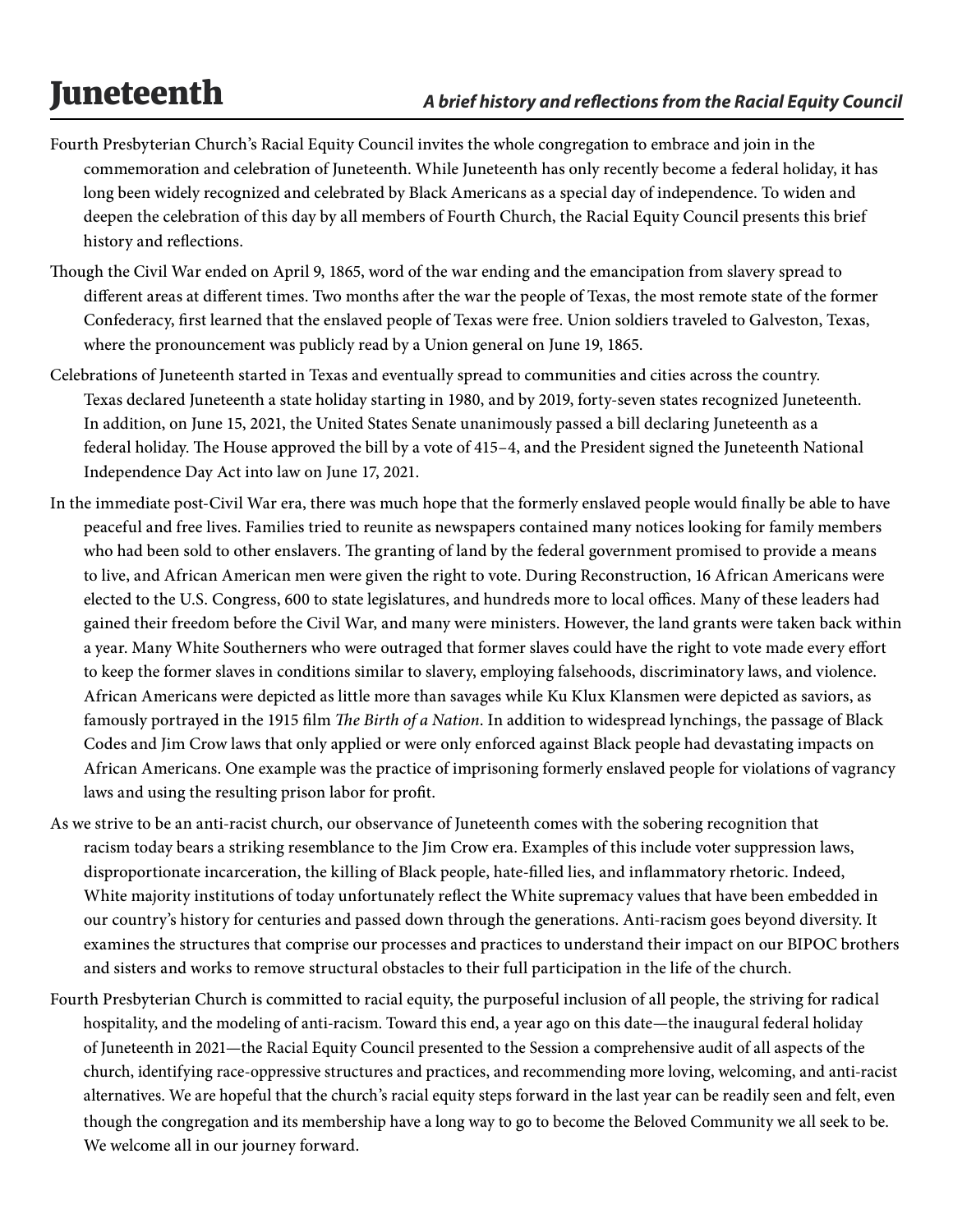## **Juneteenth**

- Fourth Presbyterian Church's Racial Equity Council invites the whole congregation to embrace and join in the commemoration and celebration of Juneteenth. While Juneteenth has only recently become a federal holiday, it has long been widely recognized and celebrated by Black Americans as a special day of independence. To widen and deepen the celebration of this day by all members of Fourth Church, the Racial Equity Council presents this brief history and reflections.
- Though the Civil War ended on April 9, 1865, word of the war ending and the emancipation from slavery spread to different areas at different times. Two months after the war the people of Texas, the most remote state of the former Confederacy, first learned that the enslaved people of Texas were free. Union soldiers traveled to Galveston, Texas, where the pronouncement was publicly read by a Union general on June 19, 1865.
- Celebrations of Juneteenth started in Texas and eventually spread to communities and cities across the country. Texas declared Juneteenth a state holiday starting in 1980, and by 2019, forty-seven states recognized Juneteenth. In addition, on June 15, 2021, the United States Senate unanimously passed a bill declaring Juneteenth as a federal holiday. The House approved the bill by a vote of 415–4, and the President signed the Juneteenth National Independence Day Act into law on June 17, 2021.
- In the immediate post-Civil War era, there was much hope that the formerly enslaved people would finally be able to have peaceful and free lives. Families tried to reunite as newspapers contained many notices looking for family members who had been sold to other enslavers. The granting of land by the federal government promised to provide a means to live, and African American men were given the right to vote. During Reconstruction, 16 African Americans were elected to the U.S. Congress, 600 to state legislatures, and hundreds more to local offices. Many of these leaders had gained their freedom before the Civil War, and many were ministers. However, the land grants were taken back within a year. Many White Southerners who were outraged that former slaves could have the right to vote made every effort to keep the former slaves in conditions similar to slavery, employing falsehoods, discriminatory laws, and violence. African Americans were depicted as little more than savages while Ku Klux Klansmen were depicted as saviors, as famously portrayed in the 1915 film *The Birth of a Nation*. In addition to widespread lynchings, the passage of Black Codes and Jim Crow laws that only applied or were only enforced against Black people had devastating impacts on African Americans. One example was the practice of imprisoning formerly enslaved people for violations of vagrancy laws and using the resulting prison labor for profit.
- As we strive to be an anti-racist church, our observance of Juneteenth comes with the sobering recognition that racism today bears a striking resemblance to the Jim Crow era. Examples of this include voter suppression laws, disproportionate incarceration, the killing of Black people, hate-filled lies, and inflammatory rhetoric. Indeed, White majority institutions of today unfortunately reflect the White supremacy values that have been embedded in our country's history for centuries and passed down through the generations. Anti-racism goes beyond diversity. It examines the structures that comprise our processes and practices to understand their impact on our BIPOC brothers and sisters and works to remove structural obstacles to their full participation in the life of the church.
- Fourth Presbyterian Church is committed to racial equity, the purposeful inclusion of all people, the striving for radical hospitality, and the modeling of anti-racism. Toward this end, a year ago on this date—the inaugural federal holiday of Juneteenth in 2021—the Racial Equity Council presented to the Session a comprehensive audit of all aspects of the church, identifying race-oppressive structures and practices, and recommending more loving, welcoming, and anti-racist alternatives. We are hopeful that the church's racial equity steps forward in the last year can be readily seen and felt, even though the congregation and its membership have a long way to go to become the Beloved Community we all seek to be. We welcome all in our journey forward.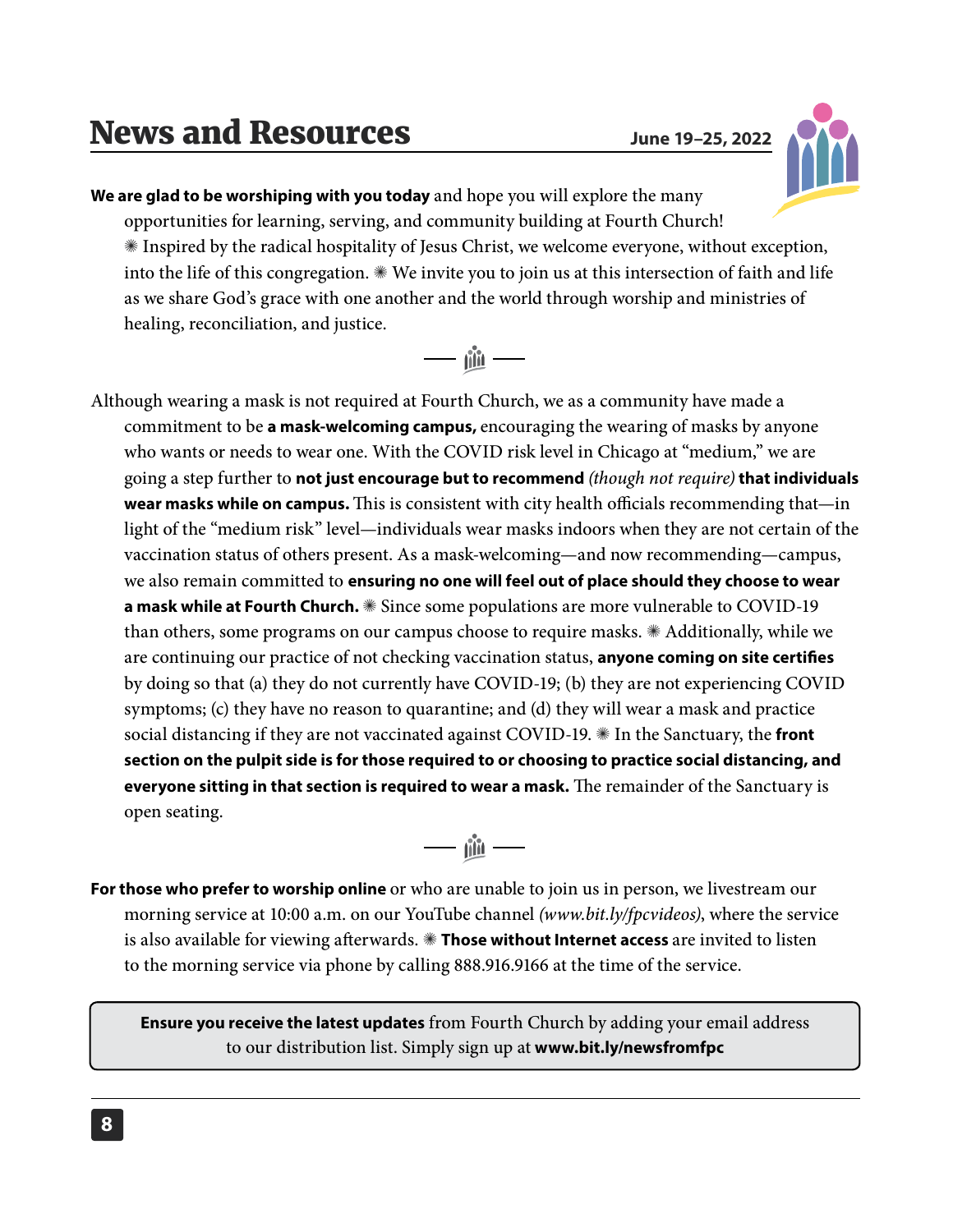

**We are glad to be worshiping with you today** and hope you will explore the many opportunities for learning, serving, and community building at Fourth Church! ✺ Inspired by the radical hospitality of Jesus Christ, we welcome everyone, without exception, into the life of this congregation. <sup>\*\*</sup> We invite you to join us at this intersection of faith and life as we share God's grace with one another and the world through worship and ministries of healing, reconciliation, and justice.



Although wearing a mask is not required at Fourth Church, we as a community have made a commitment to be **a mask-welcoming campus,** encouraging the wearing of masks by anyone who wants or needs to wear one. With the COVID risk level in Chicago at "medium," we are going a step further to **not just encourage but to recommend** *(though not require)* **that individuals wear masks while on campus.** This is consistent with city health officials recommending that—in light of the "medium risk" level—individuals wear masks indoors when they are not certain of the vaccination status of others present. As a mask-welcoming—and now recommending—campus, we also remain committed to **ensuring no one will feel out of place should they choose to wear a mask while at Fourth Church.** ✺ Since some populations are more vulnerable to COVID-19 than others, some programs on our campus choose to require masks.  $*$  Additionally, while we are continuing our practice of not checking vaccination status, **anyone coming on site certifies**  by doing so that (a) they do not currently have COVID-19; (b) they are not experiencing COVID symptoms; (c) they have no reason to quarantine; and (d) they will wear a mask and practice social distancing if they are not vaccinated against COVID-19.✺ In the Sanctuary, the **front section on the pulpit side is for those required to or choosing to practice social distancing, and everyone sitting in that section is required to wear a mask.** The remainder of the Sanctuary is open seating.



**For those who prefer to worship online** or who are unable to join us in person, we livestream our morning service at 10:00 a.m. on our YouTube channel *(www.bit.ly/fpcvideos)*, where the service is also available for viewing afterwards.✺ **Those without Internet access** are invited to listen to the morning service via phone by calling 888.916.9166 at the time of the service.

**Ensure you receive the latest updates** from Fourth Church by adding your email address to our distribution list. Simply sign up at **www.bit.ly/newsfromfpc**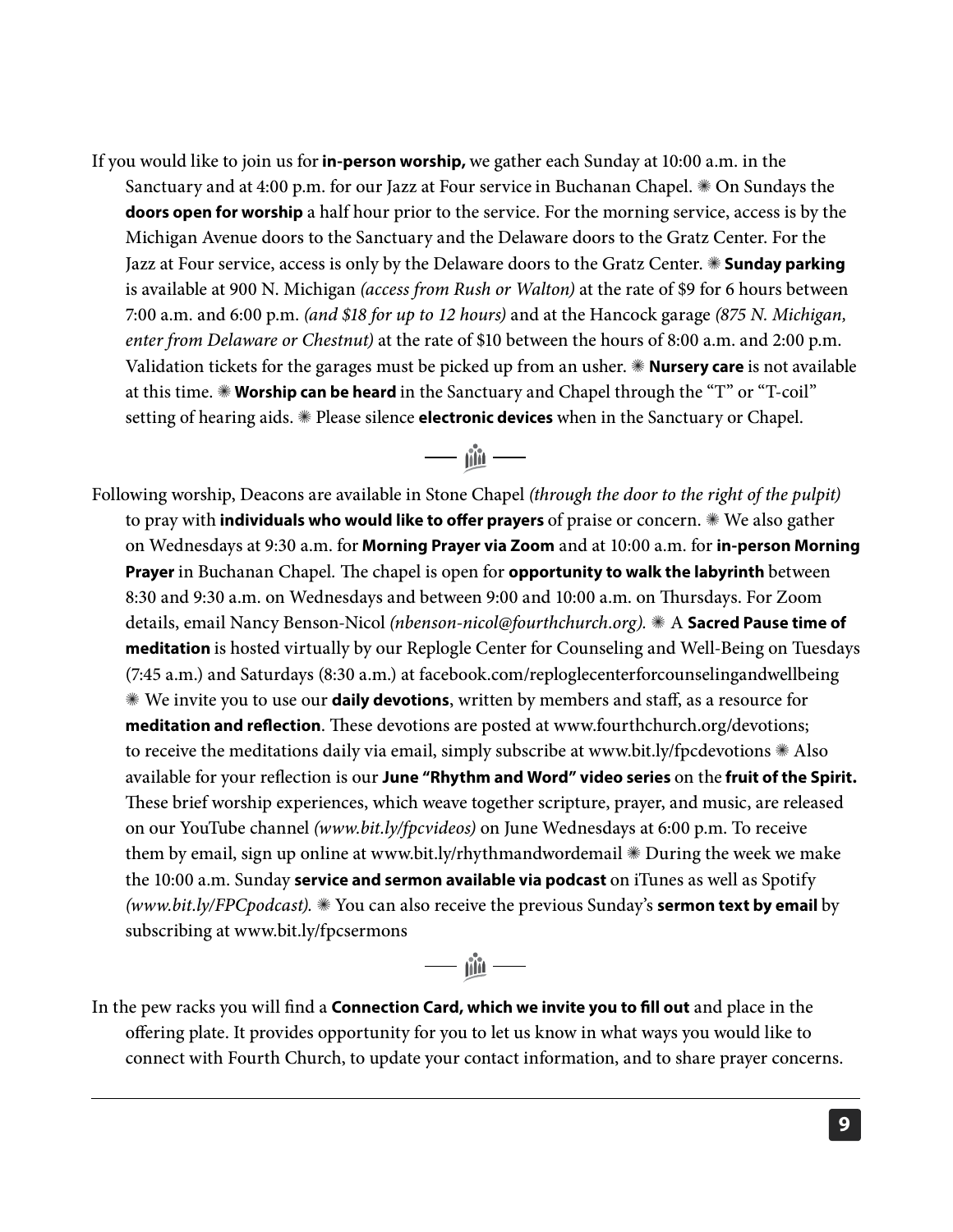If you would like to join us for **in-person worship,** we gather each Sunday at 10:00 a.m. in the Sanctuary and at 4:00 p.m. for our Jazz at Four service in Buchanan Chapel.  $\ast$  On Sundays the **doors open for worship** a half hour prior to the service. For the morning service, access is by the Michigan Avenue doors to the Sanctuary and the Delaware doors to the Gratz Center.For the Jazz at Four service, access is only by the Delaware doors to the Gratz Center.✺ **Sunday parking** is available at 900 N. Michigan *(access from Rush or Walton)* at the rate of \$9 for 6 hours between 7:00 a.m. and 6:00 p.m.*(and \$18 for up to 12 hours)* and at the Hancock garage *(875 N. Michigan, enter from Delaware or Chestnut)* at the rate of \$10 between the hours of 8:00 a.m. and 2:00 p.m. Validation tickets for the garages must be picked up from an usher.✺ **Nursery care** is not available at this time.✺ **Worship can be heard** in the Sanctuary and Chapel through the "T" or "T-coil" setting of hearing aids.✺ Please silence **electronic devices** when in the Sanctuary or Chapel.

 $-\mathbf{m}$ 

Following worship, Deacons are available in Stone Chapel *(through the door to the right of the pulpit)* to pray with **individuals who would like to offer prayers** of praise or concern.✺ We also gather on Wednesdays at 9:30 a.m. for **Morning Prayer via Zoom** and at 10:00 a.m. for **in-person Morning Prayer** in Buchanan Chapel*.* The chapel is open for **opportunity to walk the labyrinth** between 8:30 and 9:30 a.m. on Wednesdays and between 9:00 and 10:00 a.m. on Thursdays. For Zoom details, email Nancy Benson-Nicol *(nbenson-nicol@fourthchurch.org).* ✺ A **Sacred Pause time of meditation** is hosted virtually by our Replogle Center for Counseling and Well-Being on Tuesdays (7:45 a.m.) and Saturdays (8:30 a.m.) at facebook.com/reploglecenterforcounselingandwellbeing ✺ We invite you to use our **daily devotions**, written by members and staff, as a resource for **meditation and reflection**. These devotions are posted at www.fourthchurch.org/devotions; to receive the meditations daily via email, simply subscribe at www.bit.ly/fpcdevotions ✺ Also available for your reflection is our **June "Rhythm and Word" video series** on the **fruit of the Spirit.** These brief worship experiences, which weave together scripture, prayer, and music, are released on our YouTube channel *(www.bit.ly/fpcvideos)* on June Wednesdays at 6:00 p.m. To receive them by email, sign up online at www.bit.ly/rhythmandwordemail ✺ During the week we make the 10:00 a.m. Sunday **service and sermon available via podcast** on iTunes as well as Spotify *(www.bit.ly/FPCpodcast).* ✺ You can also receive the previous Sunday's **sermon text by email** by subscribing at www.bit.ly/fpcsermons



In the pew racks you will find a **Connection Card, which we invite you to fill out** and place in the offering plate. It provides opportunity for you to let us know in what ways you would like to connect with Fourth Church, to update your contact information, and to share prayer concerns.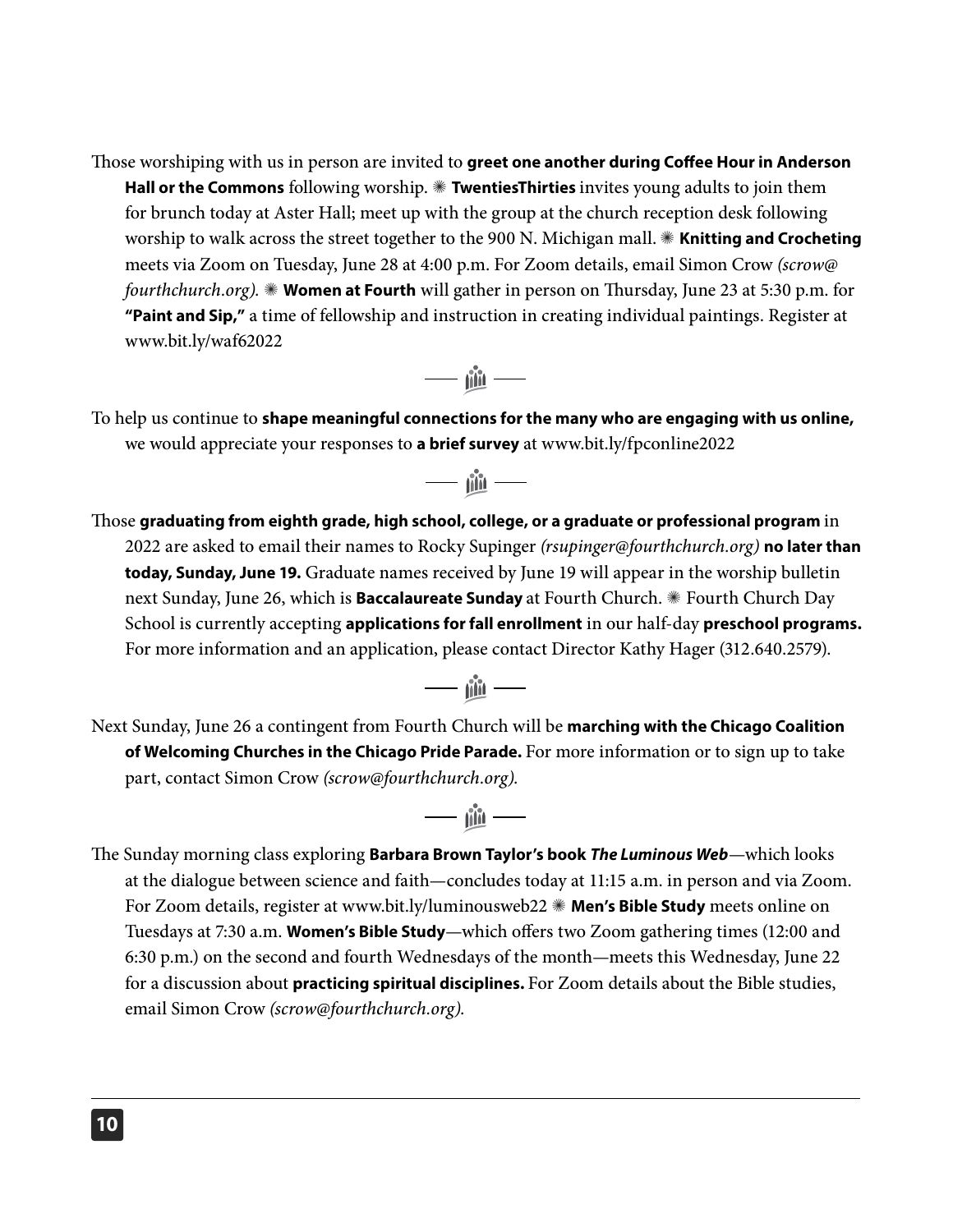Those worshiping with us in person are invited to **greet one another during Coffee Hour in Anderson Hall or the Commons** following worship.✺ **TwentiesThirties** invites young adults to join them for brunch today at Aster Hall; meet up with the group at the church reception desk following worship to walk across the street together to the 900 N. Michigan mall. **\* Knitting and Crocheting** meets via Zoom on Tuesday, June 28 at 4:00 p.m. For Zoom details, email Simon Crow *(scrow@ fourthchurch.org).* ✺ **Women at Fourth** will gather in person on Thursday, June 23 at 5:30 p.m. for **"Paint and Sip,"** a time of fellowship and instruction in creating individual paintings. Register at www.bit.ly/waf62022



To help us continue to **shape meaningful connections for the many who are engaging with us online,** we would appreciate your responses to **a brief survey** at www.bit.ly/fpconline2022



Those **graduating from eighth grade, high school, college, or a graduate or professional program** in 2022 are asked to email their names to Rocky Supinger *(rsupinger@fourthchurch.org)* **no later than today, Sunday, June 19.** Graduate names received by June 19 will appear in the worship bulletin next Sunday, June 26, which is **Baccalaureate Sunday** at Fourth Church.✺ Fourth Church Day School is currently accepting **applications for fall enrollment** in our half-day **preschool programs.**  For more information and an application, please contact Director Kathy Hager (312.640.2579).

 $-\mathbf{m}$ 

Next Sunday, June 26 a contingent from Fourth Church will be **marching with the Chicago Coalition of Welcoming Churches in the Chicago Pride Parade.** For more information or to sign up to take part, contact Simon Crow *(scrow@fourthchurch.org).*

 $-\mathbf{m}$ 

The Sunday morning class exploring **Barbara Brown Taylor's book** *The Luminous Web*—which looks at the dialogue between science and faith—concludes today at 11:15 a.m. in person and via Zoom. For Zoom details, register at www.bit.ly/luminousweb22 ✺ **Men's Bible Study** meets online on Tuesdays at 7:30 a.m.**Women's Bible Study**—which offers two Zoom gathering times (12:00 and 6:30 p.m.) on the second and fourth Wednesdays of the month—meets this Wednesday, June 22 for a discussion about **practicing spiritual disciplines.** For Zoom details about the Bible studies, email Simon Crow *(scrow@fourthchurch.org).*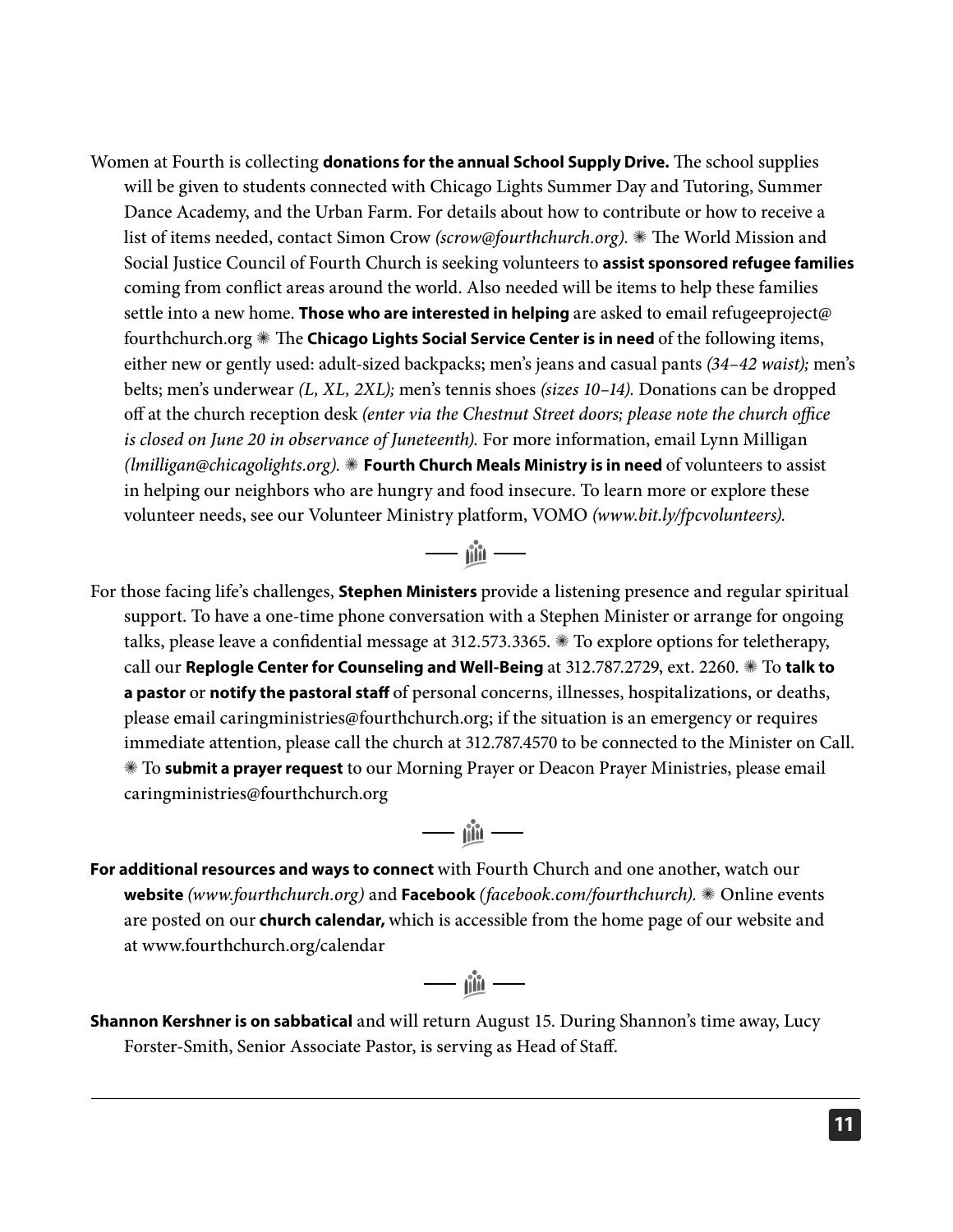Women at Fourth is collecting **donations for the annual School Supply Drive.** The school supplies will be given to students connected with Chicago Lights Summer Day and Tutoring, Summer Dance Academy, and the Urban Farm. For details about how to contribute or how to receive a list of items needed, contact Simon Crow *(scrow@fourthchurch.org).* ✺ The World Mission and Social Justice Council of Fourth Church is seeking volunteers to **assist sponsored refugee families**  coming from conflict areas around the world. Also needed will be items to help these families settle into a new home.**Those who are interested in helping** are asked to email refugeeproject@ fourthchurch.org ✺ The **Chicago Lights Social Service Center is in need** of the following items, either new or gently used: adult-sized backpacks; men's jeans and casual pants *(34–42 waist);* men's belts; men's underwear *(L, XL, 2XL);* men's tennis shoes *(sizes 10–14).* Donations can be dropped off at the church reception desk *(enter via the Chestnut Street doors; please note the church office is closed on June 20 in observance of Juneteenth).* For more information, email Lynn Milligan *(lmilligan@chicagolights.org).* ✺ **Fourth Church Meals Ministry is in need** of volunteers to assist in helping our neighbors who are hungry and food insecure. To learn more or explore these volunteer needs, see our Volunteer Ministry platform, VOMO *(www.bit.ly/fpcvolunteers).*



For those facing life's challenges, **Stephen Ministers** provide a listening presence and regular spiritual support. To have a one-time phone conversation with a Stephen Minister or arrange for ongoing talks, please leave a confidential message at 312.573.3365.✺ To explore options for teletherapy, call our **Replogle Center for Counseling and Well-Being** at 312.787.2729, ext. 2260.✺ To **talk to a pastor** or **notify the pastoral staff** of personal concerns, illnesses, hospitalizations, or deaths, please email caringministries@fourthchurch.org; if the situation is an emergency or requires immediate attention, please call the church at 312.787.4570 to be connected to the Minister on Call. ✺ To **submit a prayer request** to our Morning Prayer or Deacon Prayer Ministries, please email caringministries@fourthchurch.org



**For additional resources and ways to connect** with Fourth Church and one another, watch our **website** *(www.fourthchurch.org)* and **Facebook** *(facebook.com/fourthchurch).* ✺ Online events are posted on our **church calendar,** which is accessible from the home page of our website and at www.fourthchurch.org/calendar

 $-$  iii  $-$ 

**Shannon Kershner is on sabbatical** and will return August 15. During Shannon's time away, Lucy Forster-Smith, Senior Associate Pastor, is serving as Head of Staff.